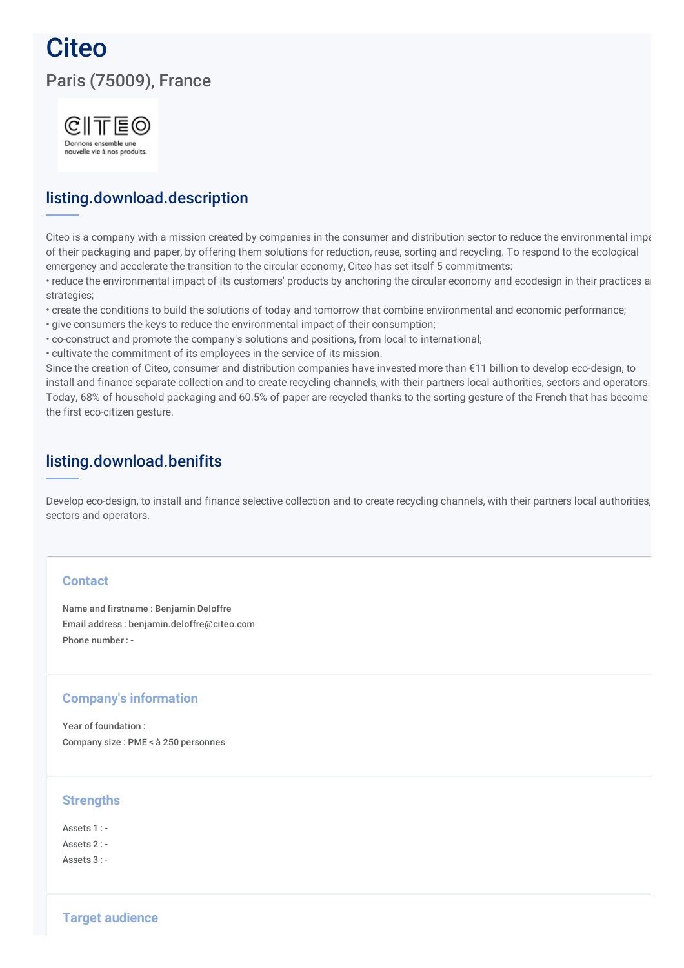# **Citeo** Paris (75009), France



### listing.download.description

Citeo is a company with a mission created by companies in the consumer and distribution sector to reduce the environmental impaction of their packaging and paper, by offering them solutions for reduction, reuse, sorting and recycling. To respond to the ecological emergency and accelerate the transition to the circular economy, Citeo has set itself 5 commitments:

• reduce the environmental impact of its customers' products by anchoring the circular economy and ecodesign in their practices and strategies;

- create the conditions to build the solutions of today and tomorrow that combine environmental and economic performance;
- give consumers the keys to reduce the environmental impact of their consumption;
- co-construct and promote the company's solutions and positions, from local to international;
- cultivate the commitment of its employees in the service of its mission.

Since the creation of Citeo, consumer and distribution companies have invested more than €11 billion to develop eco-design, to install and finance separate collection and to create recycling channels, with their partners local authorities, sectors and operators. Today, 68% of household packaging and 60.5% of paper are recycled thanks to the sorting gesture of the French that has become the first eco-citizen gesture.

### listing.download.benifits

Develop eco-design, to install and finance selective collection and to create recycling channels, with their partners local authorities, sectors and operators.

#### **Contact**

Name and firstname : Benjamin Deloffre Email address : benjamin.deloffre@citeo.com Phone number : -

#### **Company's information**

Year of foundation : Company size : PME < à 250 personnes

#### **Strengths**

Assets 1 : - Assets 2 : -  $A$ ssets  $3 \cdot$  -

**Target audience**